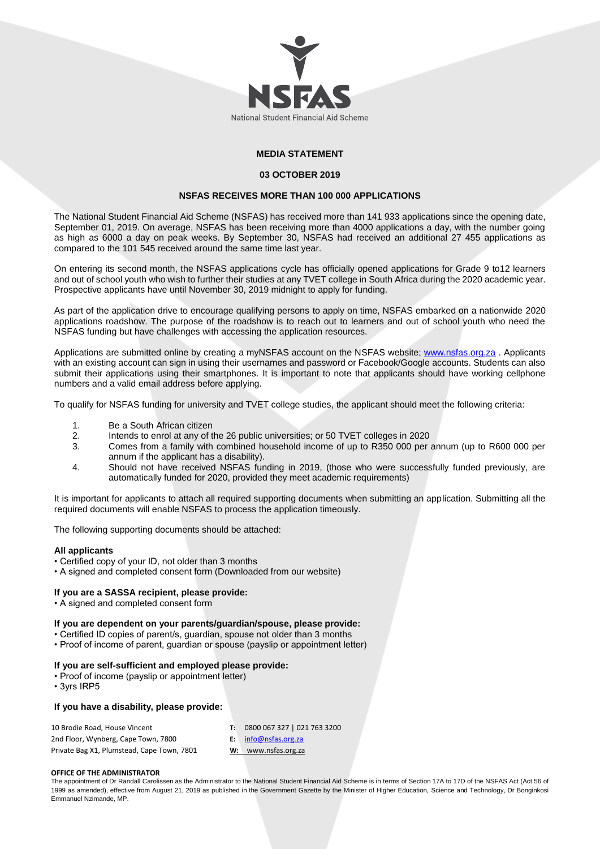

# **MEDIA STATEMENT**

### **03 OCTOBER 2019**

# **NSFAS RECEIVES MORE THAN 100 000 APPLICATIONS**

The National Student Financial Aid Scheme (NSFAS) has received more than 141 933 applications since the opening date, September 01, 2019. On average, NSFAS has been receiving more than 4000 applications a day, with the number going as high as 6000 a day on peak weeks. By September 30, NSFAS had received an additional 27 455 applications as compared to the 101 545 received around the same time last year.

On entering its second month, the NSFAS applications cycle has officially opened applications for Grade 9 to12 learners and out of school youth who wish to further their studies at any TVET college in South Africa during the 2020 academic year. Prospective applicants have until November 30, 2019 midnight to apply for funding.

As part of the application drive to encourage qualifying persons to apply on time, NSFAS embarked on a nationwide 2020 applications roadshow. The purpose of the roadshow is to reach out to learners and out of school youth who need the NSFAS funding but have challenges with accessing the application resources.

Applications are submitted online by creating a myNSFAS account on the NSFAS website; [www.nsfas.org.za](http://www.nsfas.org.za/). Applicants with an existing account can sign in using their usernames and password or Facebook/Google accounts. Students can also submit their applications using their smartphones. It is important to note that applicants should have working cellphone numbers and a valid email address before applying.

To qualify for NSFAS funding for university and TVET college studies, the applicant should meet the following criteria:

- 1. Be a South African citizen
- 2. Intends to enrol at any of the 26 public universities; or 50 TVET colleges in 2020
- 3. Comes from a family with combined household income of up to R350 000 per annum (up to R600 000 per annum if the applicant has a disability).
- 4. Should not have received NSFAS funding in 2019, (those who were successfully funded previously, are automatically funded for 2020, provided they meet academic requirements)

It is important for applicants to attach all required supporting documents when submitting an application. Submitting all the required documents will enable NSFAS to process the application timeously.

The following supporting documents should be attached:

## **All applicants**

- Certified copy of your ID, not older than 3 months
- A signed and completed consent form (Downloaded from our website)

### **If you are a SASSA recipient, please provide:**

• A signed and completed consent form

## **If you are dependent on your parents/guardian/spouse, please provide:**

- Certified ID copies of parent/s, guardian, spouse not older than 3 months
- Proof of income of parent, guardian or spouse (payslip or appointment letter)

### **If you are self-sufficient and employed please provide:**

- Proof of income (payslip or appointment letter)
- 3yrs IRP5

## **If you have a disability, please provide:**

| 10 Brodie Road, House Vincent              | 0800 067 327   021 763 3200 |
|--------------------------------------------|-----------------------------|
| 2nd Floor, Wynberg, Cape Town, 7800        | $E:$ info@nsfas.org.za      |
| Private Bag X1, Plumstead, Cape Town, 7801 | W: www.nsfas.org.za         |

#### **OFFICE OF THE ADMINISTRATOR**

The appointment of Dr Randall Carolissen as the Administrator to the National Student Financial Aid Scheme is in terms of Section 17A to 17D of the NSFAS Act (Act 56 of 1999 as amended), effective from August 21, 2019 as published in the Government Gazette by the Minister of Higher Education, Science and Technology, Dr Bonginkosi Emmanuel Nzimande, MP.